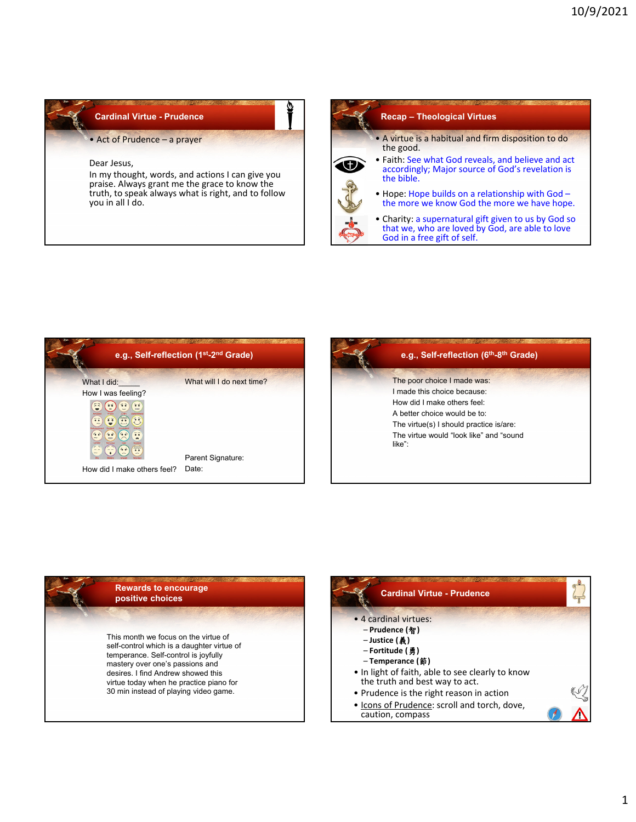## **Cardinal Virtue - Prudence**

• Act of Prudence – a prayer

## Dear Jesus,

In my thought, words, and actions I can give you praise. Always grant me the grace to know the truth, to speak always what is right, and to follow you in all I do.





| e.g., Self-reflection (6 <sup>th</sup> -8 <sup>th</sup> Grade) |
|----------------------------------------------------------------|
| The poor choice I made was:                                    |
| I made this choice because:                                    |
| How did I make others feel:                                    |
| A better choice would be to:                                   |
| The virtue(s) I should practice is/are:                        |
| The virtue would "look like" and "sound<br>like":              |
|                                                                |
|                                                                |
|                                                                |